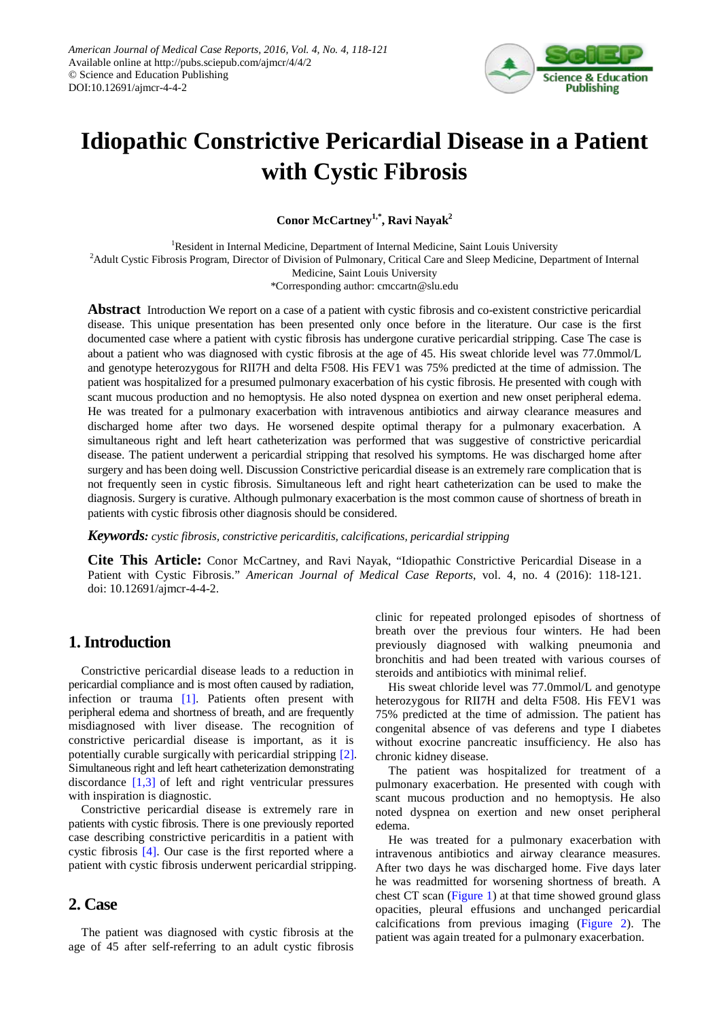

# **Idiopathic Constrictive Pericardial Disease in a Patient with Cystic Fibrosis**

**Conor McCartney1,\*, Ravi Nayak2**

<sup>1</sup>Resident in Internal Medicine, Department of Internal Medicine, Saint Louis University <sup>2</sup> Adult Cystic Fibrosis Program, Director of Division of Pulmonary, Critical Care and Sleep Medicine, Department of Internal

Medicine, Saint Louis University

\*Corresponding author: cmccartn@slu.edu

**Abstract** Introduction We report on a case of a patient with cystic fibrosis and co-existent constrictive pericardial disease. This unique presentation has been presented only once before in the literature. Our case is the first documented case where a patient with cystic fibrosis has undergone curative pericardial stripping. Case The case is about a patient who was diagnosed with cystic fibrosis at the age of 45. His sweat chloride level was 77.0mmol/L and genotype heterozygous for RII7H and delta F508. His FEV1 was 75% predicted at the time of admission. The patient was hospitalized for a presumed pulmonary exacerbation of his cystic fibrosis. He presented with cough with scant mucous production and no hemoptysis. He also noted dyspnea on exertion and new onset peripheral edema. He was treated for a pulmonary exacerbation with intravenous antibiotics and airway clearance measures and discharged home after two days. He worsened despite optimal therapy for a pulmonary exacerbation. A simultaneous right and left heart catheterization was performed that was suggestive of constrictive pericardial disease. The patient underwent a pericardial stripping that resolved his symptoms. He was discharged home after surgery and has been doing well. Discussion Constrictive pericardial disease is an extremely rare complication that is not frequently seen in cystic fibrosis. Simultaneous left and right heart catheterization can be used to make the diagnosis. Surgery is curative. Although pulmonary exacerbation is the most common cause of shortness of breath in patients with cystic fibrosis other diagnosis should be considered.

*Keywords: cystic fibrosis, constrictive pericarditis, calcifications, pericardial stripping*

**Cite This Article:** Conor McCartney, and Ravi Nayak, "Idiopathic Constrictive Pericardial Disease in a Patient with Cystic Fibrosis." *American Journal of Medical Case Reports*, vol. 4, no. 4 (2016): 118-121. doi: 10.12691/ajmcr-4-4-2.

## **1. Introduction**

Constrictive pericardial disease leads to a reduction in pericardial compliance and is most often caused by radiation, infection or trauma [\[1\].](#page-3-0) Patients often present with peripheral edema and shortness of breath, and are frequently misdiagnosed with liver disease. The recognition of constrictive pericardial disease is important, as it is potentially curable surgically with pericardial stripping [\[2\].](#page-3-1) Simultaneous right and left heart catheterization demonstrating discordance [\[1,3\]](#page-3-0) of left and right ventricular pressures with inspiration is diagnostic.

Constrictive pericardial disease is extremely rare in patients with cystic fibrosis. There is one previously reported case describing constrictive pericarditis in a patient with cystic fibrosis [\[4\].](#page-3-2) Our case is the first reported where a patient with cystic fibrosis underwent pericardial stripping.

#### **2. Case**

The patient was diagnosed with cystic fibrosis at the age of 45 after self-referring to an adult cystic fibrosis clinic for repeated prolonged episodes of shortness of breath over the previous four winters. He had been previously diagnosed with walking pneumonia and bronchitis and had been treated with various courses of steroids and antibiotics with minimal relief.

His sweat chloride level was 77.0mmol/L and genotype heterozygous for RII7H and delta F508. His FEV1 was 75% predicted at the time of admission. The patient has congenital absence of vas deferens and type I diabetes without exocrine pancreatic insufficiency. He also has chronic kidney disease.

The patient was hospitalized for treatment of a pulmonary exacerbation. He presented with cough with scant mucous production and no hemoptysis. He also noted dyspnea on exertion and new onset peripheral edema.

He was treated for a pulmonary exacerbation with intravenous antibiotics and airway clearance measures. After two days he was discharged home. Five days later he was readmitted for worsening shortness of breath. A chest CT scan [\(Figure 1\)](#page-1-0) at that time showed ground glass opacities, pleural effusions and unchanged pericardial calcifications from previous imaging [\(Figure 2\)](#page-1-1). The patient was again treated for a pulmonary exacerbation.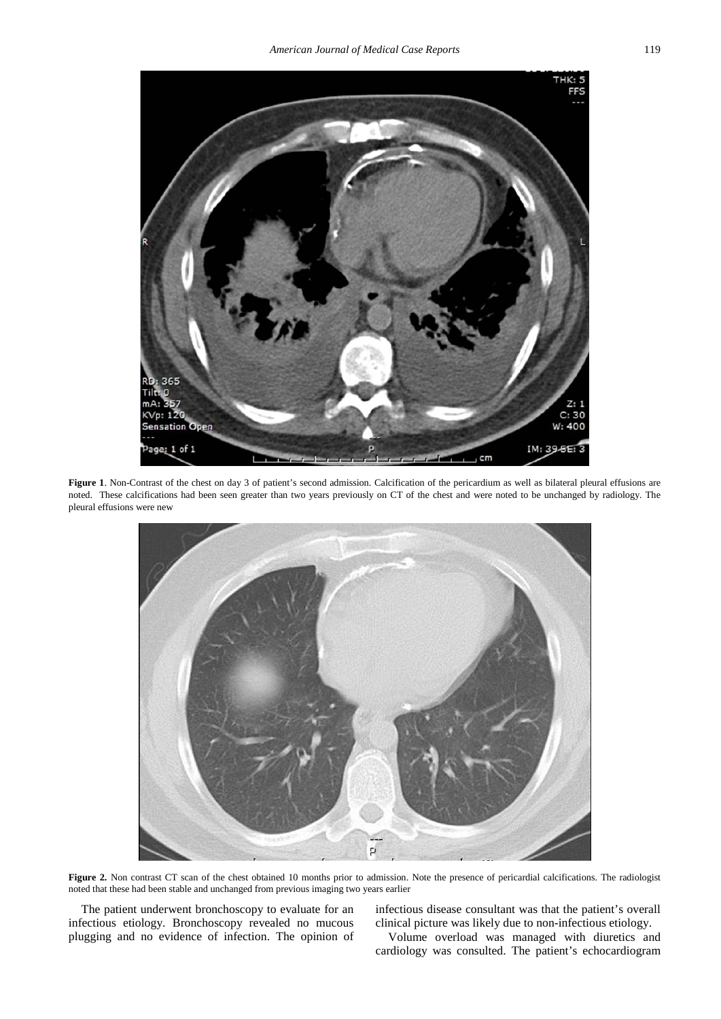<span id="page-1-0"></span>

Figure 1. Non-Contrast of the chest on day 3 of patient's second admission. Calcification of the pericardium as well as bilateral pleural effusions are noted. These calcifications had been seen greater than two years previously on CT of the chest and were noted to be unchanged by radiology. The pleural effusions were new

<span id="page-1-1"></span>

Figure 2. Non contrast CT scan of the chest obtained 10 months prior to admission. Note the presence of pericardial calcifications. The radiologist noted that these had been stable and unchanged from previous imaging two years earlier

The patient underwent bronchoscopy to evaluate for an infectious etiology. Bronchoscopy revealed no mucous plugging and no evidence of infection. The opinion of infectious disease consultant was that the patient's overall clinical picture was likely due to non-infectious etiology.

Volume overload was managed with diuretics and cardiology was consulted. The patient's echocardiogram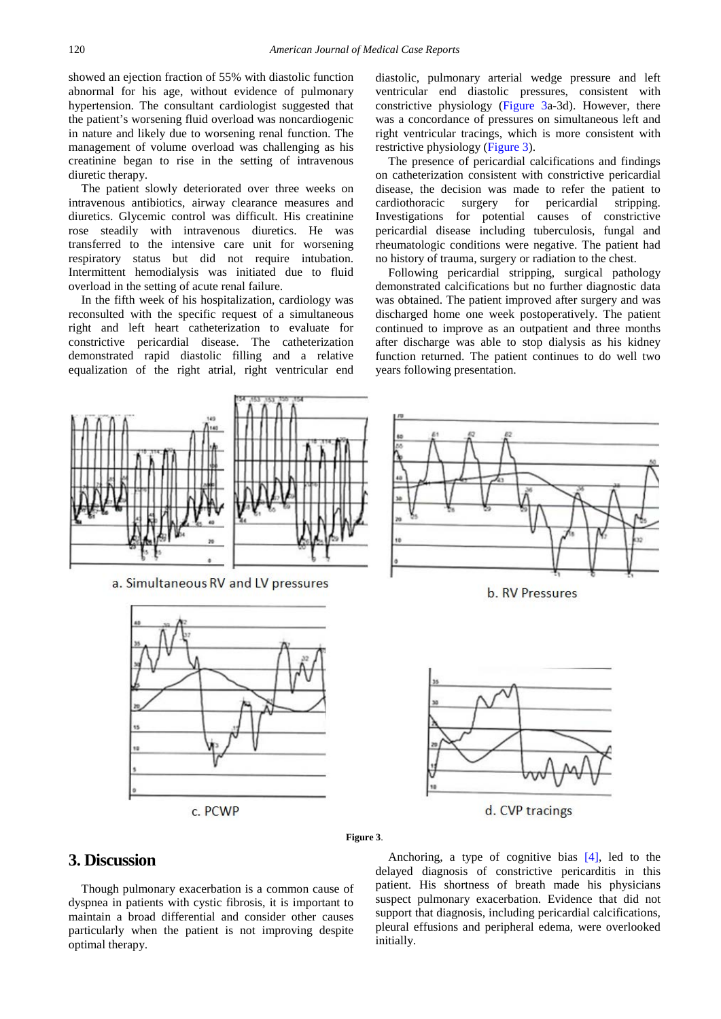showed an ejection fraction of 55% with diastolic function abnormal for his age, without evidence of pulmonary hypertension. The consultant cardiologist suggested that the patient's worsening fluid overload was noncardiogenic in nature and likely due to worsening renal function. The management of volume overload was challenging as his creatinine began to rise in the setting of intravenous diuretic therapy.

The patient slowly deteriorated over three weeks on intravenous antibiotics, airway clearance measures and diuretics. Glycemic control was difficult. His creatinine rose steadily with intravenous diuretics. He was transferred to the intensive care unit for worsening respiratory status but did not require intubation. Intermittent hemodialysis was initiated due to fluid overload in the setting of acute renal failure.

In the fifth week of his hospitalization, cardiology was reconsulted with the specific request of a simultaneous right and left heart catheterization to evaluate for constrictive pericardial disease. The catheterization demonstrated rapid diastolic filling and a relative equalization of the right atrial, right ventricular end diastolic, pulmonary arterial wedge pressure and left ventricular end diastolic pressures, consistent with constrictive physiology [\(Figure 3a](#page-2-0)-3d). However, there was a concordance of pressures on simultaneous left and right ventricular tracings, which is more consistent with restrictive physiology [\(Figure 3\)](#page-2-0).

The presence of pericardial calcifications and findings on catheterization consistent with constrictive pericardial disease, the decision was made to refer the patient to cardiothoracic surgery for pericardial stripping. Investigations for potential causes of constrictive pericardial disease including tuberculosis, fungal and rheumatologic conditions were negative. The patient had no history of trauma, surgery or radiation to the chest.

Following pericardial stripping, surgical pathology demonstrated calcifications but no further diagnostic data was obtained. The patient improved after surgery and was discharged home one week postoperatively. The patient continued to improve as an outpatient and three months after discharge was able to stop dialysis as his kidney function returned. The patient continues to do well two years following presentation.

<span id="page-2-0"></span>

### **3. Discussion**

Though pulmonary exacerbation is a common cause of dyspnea in patients with cystic fibrosis, it is important to maintain a broad differential and consider other causes particularly when the patient is not improving despite optimal therapy.

Anchoring, a type of cognitive bias [\[4\],](#page-3-2) led to the delayed diagnosis of constrictive pericarditis in this patient. His shortness of breath made his physicians suspect pulmonary exacerbation. Evidence that did not support that diagnosis, including pericardial calcifications, pleural effusions and peripheral edema, were overlooked initially.